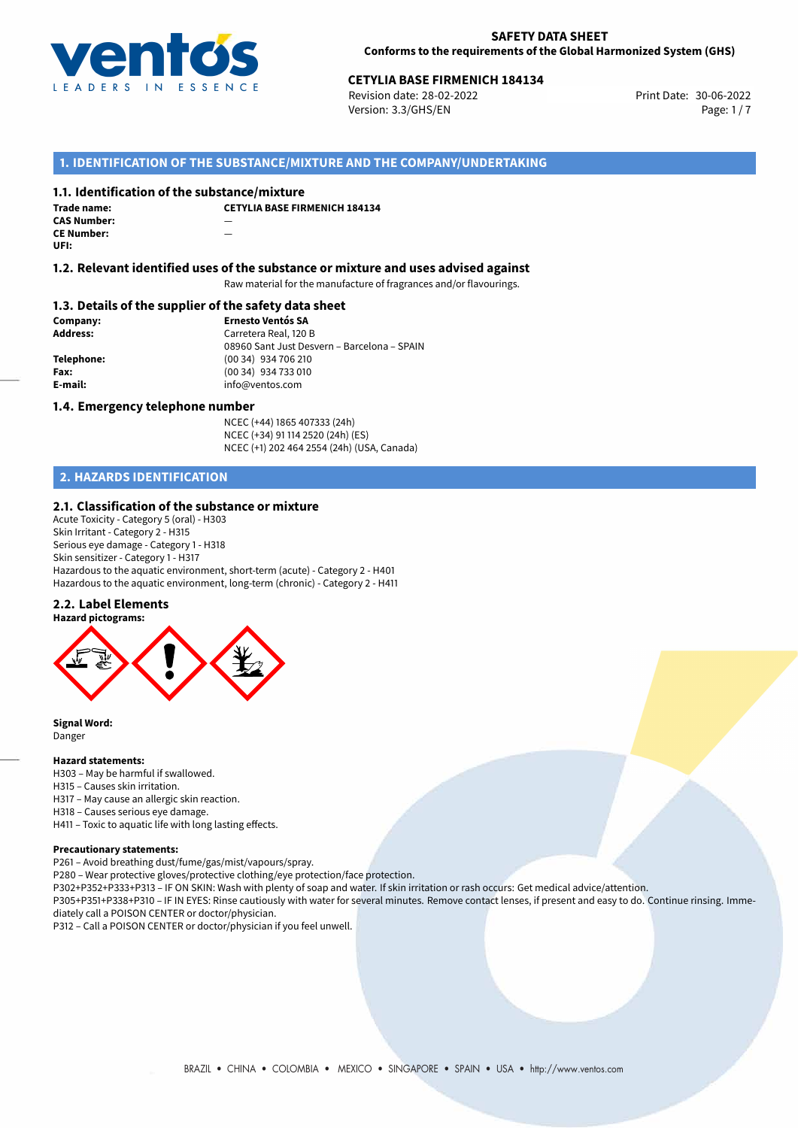

# **CETYLIA BASE FIRMENICH 184134**<br>30-06-2022 **Print Date: 30-06-2022** Print Date: 30-06-2022

Revision date: 28-02-2022 Version: 3.3/GHS/EN Page: 1/7

## **1. IDENTIFICATION OF THE SUBSTANCE/MIXTURE AND THE COMPANY/UNDERTAKING**

#### **1.1. Identification of the substance/mixture**

| Trade name:        | СI |
|--------------------|----|
| <b>CAS Number:</b> |    |
| <b>CE Number:</b>  |    |
| UFI:               |    |

**CETYLIA BASE FIRMENICH 184134**

#### **1.2. Relevant identified uses of the substance or mixture and uses advised against**

Raw material for the manufacture of fragrances and/or flavourings.

### **1.3. Details of the supplier of the safety data sheet**

| Company:        | <b>Ernesto Ventós SA</b>                    |
|-----------------|---------------------------------------------|
| <b>Address:</b> | Carretera Real, 120 B                       |
|                 | 08960 Sant Just Desvern - Barcelona - SPAIN |
| Telephone:      | (00 34) 934 706 210                         |
| Fax:            | (00 34) 934 733 010                         |
| E-mail:         | info@ventos.com                             |
|                 |                                             |

#### **1.4. Emergency telephone number**

NCEC (+44) 1865 407333 (24h) NCEC (+34) 91 114 2520 (24h) (ES) NCEC (+1) 202 464 2554 (24h) (USA, Canada)

# **2. HAZARDS IDENTIFICATION**

#### **2.1. Classification of the substance or mixture**

Acute Toxicity - Category 5 (oral) - H303 Skin Irritant - Category 2 - H315 Serious eye damage - Category 1 - H318 Skin sensitizer - Category 1 - H317 Hazardous to the aquatic environment, short-term (acute) - Category 2 - H401 Hazardous to the aquatic environment, long-term (chronic) - Category 2 - H411

#### **2.2. Label Elements**



**Signal Word:** Danger

#### **Hazard statements:**

H303 – May be harmful if swallowed. H315 – Causes skin irritation. H317 – May cause an allergic skin reaction. H318 – Causes serious eye damage. H411 – Toxic to aquatic life with long lasting effects.

#### **Precautionary statements:**

P261 – Avoid breathing dust/fume/gas/mist/vapours/spray.

- P280 Wear protective gloves/protective clothing/eye protection/face protection.
- P302+P352+P333+P313 IF ON SKIN: Wash with plenty of soap and water. If skin irritation or rash occurs: Get medical advice/attention.

P305+P351+P338+P310 – IF IN EYES: Rinse cautiously with water for several minutes. Remove contact lenses, if present and easy to do. Continue rinsing. Immediately call a POISON CENTER or doctor/physician.

P312 – Call a POISON CENTER or doctor/physician if you feel unwell.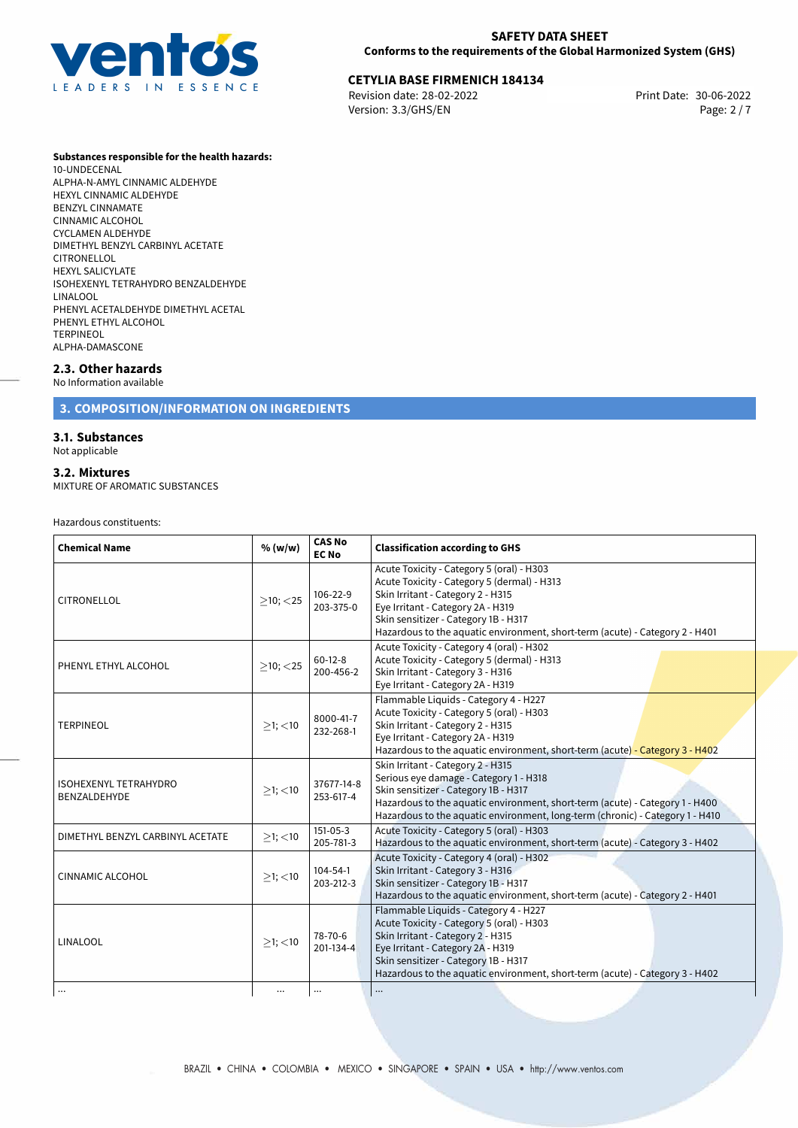

## **SAFETY DATA SHEET Conforms to the requirements of the Global Harmonized System (GHS)**

# **CETYLIA BASE FIRMENICH 184134**<br>
Revision date: 28-02-2022<br>
Print Date: 30-06-2022

Revision date: 28-02-2022 Version: 3.3/GHS/EN Page: 2 / 7

#### **Substances responsible for the health hazards:**

10-UNDECENAL ALPHA-N-AMYL CINNAMIC ALDEHYDE HEXYL CINNAMIC ALDEHYDE BENZYL CINNAMATE CINNAMIC ALCOHOL CYCLAMEN ALDEHYDE DIMETHYL BENZYL CARBINYL ACETATE CITRONELLOL HEXYL SALICYLATE ISOHEXENYL TETRAHYDRO BENZALDEHYDE LINALOOL PHENYL ACETALDEHYDE DIMETHYL ACETAL PHENYL ETHYL ALCOHOL TERPINEOL ALPHA-DAMASCONE

## **2.3. Other hazards**

No Information available

## **3. COMPOSITION/INFORMATION ON INGREDIENTS**

### **3.1. Substances**

Not applicable

#### **3.2. Mixtures**

MIXTURE OF AROMATIC SUBSTANCES

Hazardous constituents:

| <b>Chemical Name</b>                         | % (w/w)        | <b>CAS No</b><br><b>EC No</b> | <b>Classification according to GHS</b>                                                                                                                                                                                                                                                     |  |
|----------------------------------------------|----------------|-------------------------------|--------------------------------------------------------------------------------------------------------------------------------------------------------------------------------------------------------------------------------------------------------------------------------------------|--|
| <b>CITRONELLOL</b>                           | $\geq$ 10; <25 | 106-22-9<br>203-375-0         | Acute Toxicity - Category 5 (oral) - H303<br>Acute Toxicity - Category 5 (dermal) - H313<br>Skin Irritant - Category 2 - H315<br>Eye Irritant - Category 2A - H319<br>Skin sensitizer - Category 1B - H317<br>Hazardous to the aquatic environment, short-term (acute) - Category 2 - H401 |  |
| PHENYL ETHYL ALCOHOL                         | $>10$ ; $<$ 25 | $60-12-8$<br>200-456-2        | Acute Toxicity - Category 4 (oral) - H302<br>Acute Toxicity - Category 5 (dermal) - H313<br>Skin Irritant - Category 3 - H316<br>Eye Irritant - Category 2A - H319                                                                                                                         |  |
| <b>TERPINEOL</b>                             | $\geq$ 1; <10  | 8000-41-7<br>232-268-1        | Flammable Liquids - Category 4 - H227<br>Acute Toxicity - Category 5 (oral) - H303<br>Skin Irritant - Category 2 - H315<br>Eye Irritant - Category 2A - H319<br>Hazardous to the aquatic environment, short-term (acute) - Category 3 - H402                                               |  |
| <b>ISOHEXENYL TETRAHYDRO</b><br>BENZALDEHYDE | $>1$ ; $<$ 10  | 37677-14-8<br>253-617-4       | Skin Irritant - Category 2 - H315<br>Serious eye damage - Category 1 - H318<br>Skin sensitizer - Category 1B - H317<br>Hazardous to the aquatic environment, short-term (acute) - Category 1 - H400<br>Hazardous to the aquatic environment, long-term (chronic) - Category 1 - H410       |  |
| DIMETHYL BENZYL CARBINYL ACETATE             | $\geq$ 1; <10  | $151-05-3$<br>205-781-3       | Acute Toxicity - Category 5 (oral) - H303<br>Hazardous to the aquatic environment, short-term (acute) - Category 3 - H402                                                                                                                                                                  |  |
| <b>CINNAMIC ALCOHOL</b>                      | $>1$ ; $<$ 10  | $104 - 54 - 1$<br>203-212-3   | Acute Toxicity - Category 4 (oral) - H302<br>Skin Irritant - Category 3 - H316<br>Skin sensitizer - Category 1B - H317<br>Hazardous to the aquatic environment, short-term (acute) - Category 2 - H401                                                                                     |  |
| LINALOOL                                     | $>1$ ; <10     | 78-70-6<br>201-134-4          | Flammable Liquids - Category 4 - H227<br>Acute Toxicity - Category 5 (oral) - H303<br>Skin Irritant - Category 2 - H315<br>Eye Irritant - Category 2A - H319<br>Skin sensitizer - Category 1B - H317<br>Hazardous to the aquatic environment, short-term (acute) - Category 3 - H402       |  |
| $\cdots$                                     | $\cdots$       | $\cdots$                      | $\cdots$                                                                                                                                                                                                                                                                                   |  |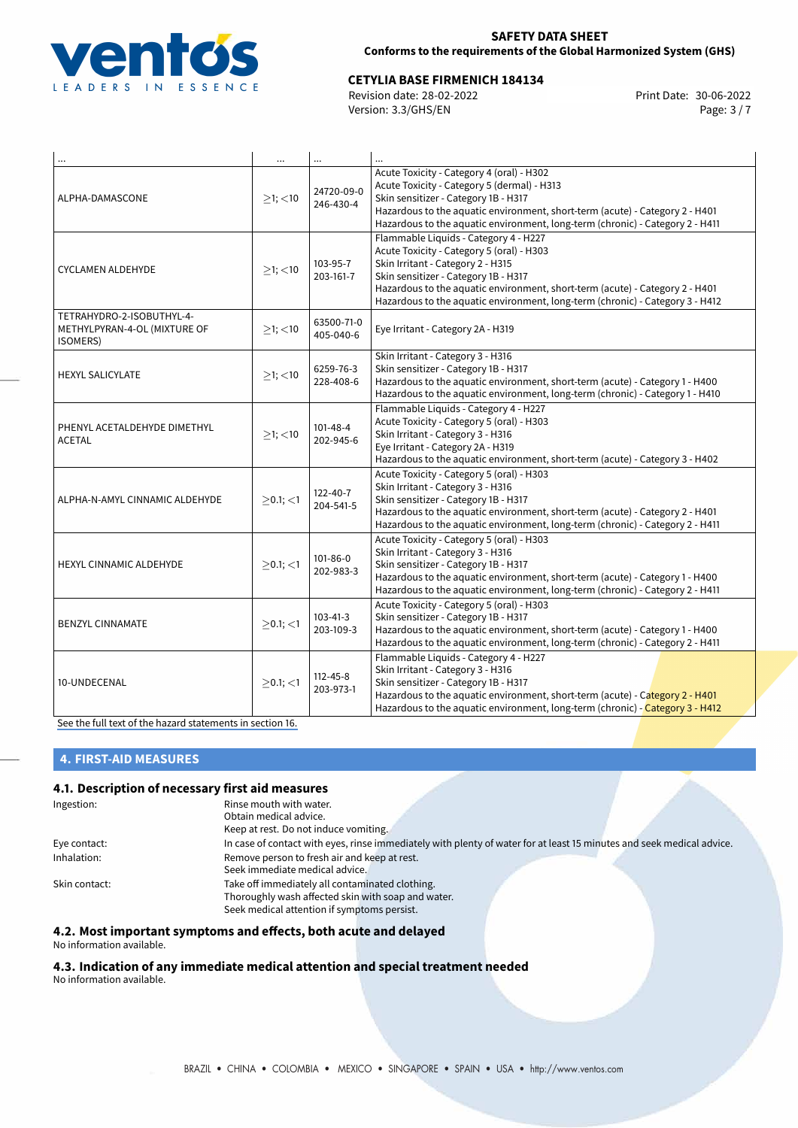

## **SAFETY DATA SHEET Conforms to the requirements of the Global Harmonized System (GHS)**

# **CETYLIA BASE FIRMENICH 184134**<br>Revision date: 28-02-2022 **CETYLIA BASE REVISION** Print Date: 30-06-2022

Revision date: 28-02-2022 Version: 3.3/GHS/EN Page: 3 / 7

|                                                                       | $\cdots$       | $\cdots$                    |                                                                                                                                                                                                                                                                                                                                  |  |
|-----------------------------------------------------------------------|----------------|-----------------------------|----------------------------------------------------------------------------------------------------------------------------------------------------------------------------------------------------------------------------------------------------------------------------------------------------------------------------------|--|
| ALPHA-DAMASCONE                                                       | $>1$ ; <10     | 24720-09-0<br>246-430-4     | Acute Toxicity - Category 4 (oral) - H302<br>Acute Toxicity - Category 5 (dermal) - H313<br>Skin sensitizer - Category 1B - H317<br>Hazardous to the aquatic environment, short-term (acute) - Category 2 - H401<br>Hazardous to the aquatic environment, long-term (chronic) - Category 2 - H411                                |  |
| <b>CYCLAMEN ALDEHYDE</b>                                              | $>1$ ; <10     | 103-95-7<br>203-161-7       | Flammable Liquids - Category 4 - H227<br>Acute Toxicity - Category 5 (oral) - H303<br>Skin Irritant - Category 2 - H315<br>Skin sensitizer - Category 1B - H317<br>Hazardous to the aquatic environment, short-term (acute) - Category 2 - H401<br>Hazardous to the aquatic environment, long-term (chronic) - Category 3 - H412 |  |
| TETRAHYDRO-2-ISOBUTHYL-4-<br>METHYLPYRAN-4-OL (MIXTURE OF<br>ISOMERS) | ≥1; < 10       | 63500-71-0<br>405-040-6     | Eye Irritant - Category 2A - H319                                                                                                                                                                                                                                                                                                |  |
| <b>HEXYL SALICYLATE</b>                                               | $>1$ ; <10     | 6259-76-3<br>228-408-6      | Skin Irritant - Category 3 - H316<br>Skin sensitizer - Category 1B - H317<br>Hazardous to the aquatic environment, short-term (acute) - Category 1 - H400<br>Hazardous to the aquatic environment, long-term (chronic) - Category 1 - H410                                                                                       |  |
| PHENYL ACETALDEHYDE DIMETHYL<br><b>ACETAL</b>                         | $≥1;$ < 10     | 101-48-4<br>202-945-6       | Flammable Liquids - Category 4 - H227<br>Acute Toxicity - Category 5 (oral) - H303<br>Skin Irritant - Category 3 - H316<br>Eye Irritant - Category 2A - H319<br>Hazardous to the aquatic environment, short-term (acute) - Category 3 - H402                                                                                     |  |
| ALPHA-N-AMYL CINNAMIC ALDEHYDE                                        | $\geq$ 0.1; <1 | 122-40-7<br>204-541-5       | Acute Toxicity - Category 5 (oral) - H303<br>Skin Irritant - Category 3 - H316<br>Skin sensitizer - Category 1B - H317<br>Hazardous to the aquatic environment, short-term (acute) - Category 2 - H401<br>Hazardous to the aquatic environment, long-term (chronic) - Category 2 - H411                                          |  |
| <b>HEXYL CINNAMIC ALDEHYDE</b>                                        | $>0.1$ ; <1    | 101-86-0<br>202-983-3       | Acute Toxicity - Category 5 (oral) - H303<br>Skin Irritant - Category 3 - H316<br>Skin sensitizer - Category 1B - H317<br>Hazardous to the aquatic environment, short-term (acute) - Category 1 - H400<br>Hazardous to the aquatic environment, long-term (chronic) - Category 2 - H411                                          |  |
| <b>BENZYL CINNAMATE</b>                                               | $\geq$ 0.1; <1 | 103-41-3<br>203-109-3       | Acute Toxicity - Category 5 (oral) - H303<br>Skin sensitizer - Category 1B - H317<br>Hazardous to the aquatic environment, short-term (acute) - Category 1 - H400<br>Hazardous to the aquatic environment, long-term (chronic) - Category 2 - H411                                                                               |  |
| 10-UNDECENAL                                                          | $>0.1$ ; $<$ 1 | $112 - 45 - 8$<br>203-973-1 | Flammable Liquids - Category 4 - H227<br>Skin Irritant - Category 3 - H316<br>Skin sensitizer - Category 1B - H317<br>Hazardous to the aquatic environment, short-term (acute) - Category 2 - H401<br>Hazardous to the aquatic environment, long-term (chronic) - Category 3 - H412                                              |  |

[See the full text of the hazard statements in section 16.](#page-5-0)

# **4. FIRST-AID MEASURES**

## **4.1. Description of necessary first aid measures**

| Ingestion:    | Rinse mouth with water.                                                                                               |
|---------------|-----------------------------------------------------------------------------------------------------------------------|
|               | Obtain medical advice.                                                                                                |
|               | Keep at rest. Do not induce vomiting.                                                                                 |
| Eye contact:  | In case of contact with eyes, rinse immediately with plenty of water for at least 15 minutes and seek medical advice. |
| Inhalation:   | Remove person to fresh air and keep at rest.                                                                          |
|               | Seek immediate medical advice.                                                                                        |
| Skin contact: | Take off immediately all contaminated clothing.                                                                       |
|               | Thoroughly wash affected skin with soap and water.                                                                    |
|               | Seek medical attention if symptoms persist.                                                                           |

## **4.2. Most important symptoms and effects, both acute and delayed**

No information available.

#### **4.3. Indication of any immediate medical attention and special treatment needed** No information available.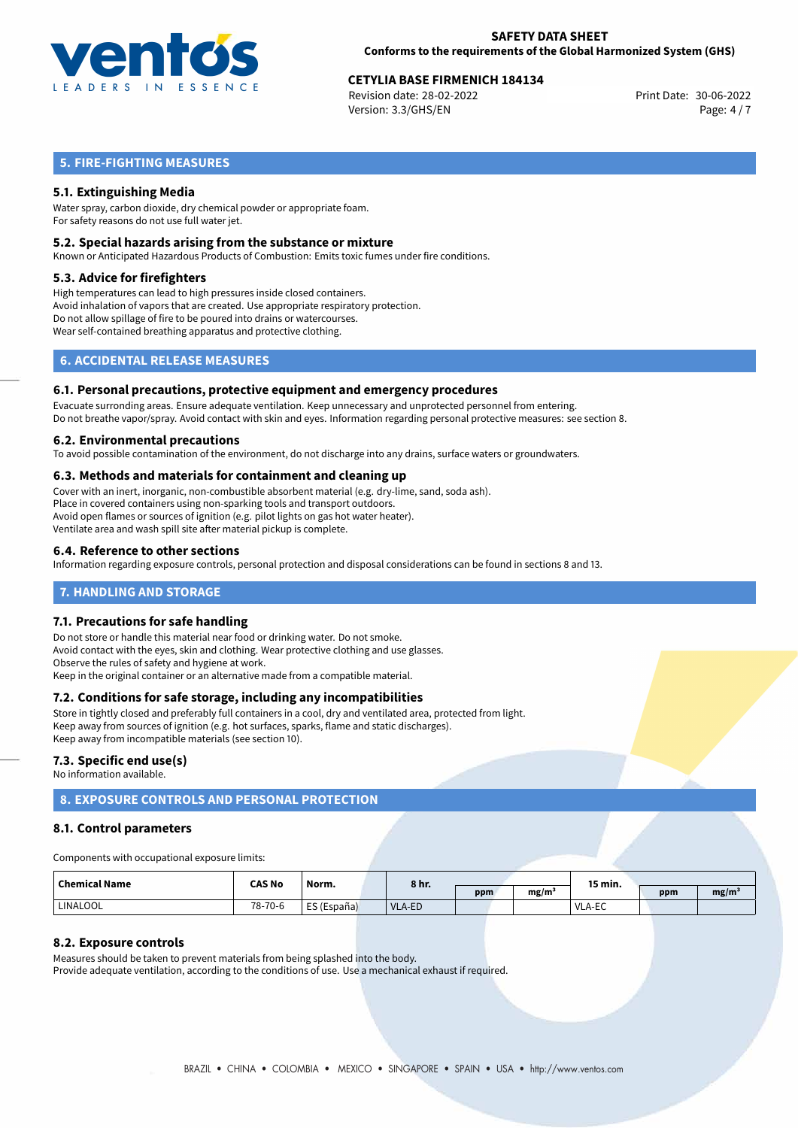

# **CETYLIA BASE FIRMENICH 184134**<br>
Revision date: 28-02-2022<br>
Print Date: 30-06-2022

Revision date: 28-02-2022 Version: 3.3/GHS/EN Page: 4 / 7

## **5. FIRE-FIGHTING MEASURES**

## **5.1. Extinguishing Media**

Water spray, carbon dioxide, dry chemical powder or appropriate foam. For safety reasons do not use full water jet.

### **5.2. Special hazards arising from the substance or mixture**

Known or Anticipated Hazardous Products of Combustion: Emits toxic fumes under fire conditions.

#### **5.3. Advice for firefighters**

High temperatures can lead to high pressures inside closed containers. Avoid inhalation of vapors that are created. Use appropriate respiratory protection. Do not allow spillage of fire to be poured into drains or watercourses. Wear self-contained breathing apparatus and protective clothing.

## **6. ACCIDENTAL RELEASE MEASURES**

#### **6.1. Personal precautions, protective equipment and emergency procedures**

Evacuate surronding areas. Ensure adequate ventilation. Keep unnecessary and unprotected personnel from entering. Do not breathe vapor/spray. Avoid contact with skin and eyes. Information regarding personal protective measures: see section 8.

#### **6.2. Environmental precautions**

To avoid possible contamination of the environment, do not discharge into any drains, surface waters or groundwaters.

### **6.3. Methods and materials for containment and cleaning up**

Cover with an inert, inorganic, non-combustible absorbent material (e.g. dry-lime, sand, soda ash). Place in covered containers using non-sparking tools and transport outdoors. Avoid open flames or sources of ignition (e.g. pilot lights on gas hot water heater). Ventilate area and wash spill site after material pickup is complete.

### **6.4. Reference to other sections**

Information regarding exposure controls, personal protection and disposal considerations can be found in sections 8 and 13.

## **7. HANDLING AND STORAGE**

### **7.1. Precautions for safe handling**

Do not store or handle this material near food or drinking water. Do not smoke. Avoid contact with the eyes, skin and clothing. Wear protective clothing and use glasses. Observe the rules of safety and hygiene at work. Keep in the original container or an alternative made from a compatible material.

### **7.2. Conditions for safe storage, including any incompatibilities**

Store in tightly closed and preferably full containers in a cool, dry and ventilated area, protected from light. Keep away from sources of ignition (e.g. hot surfaces, sparks, flame and static discharges). Keep away from incompatible materials (see section 10).

### **7.3. Specific end use(s)**

No information available.

# **8. EXPOSURE CONTROLS AND PERSONAL PROTECTION**

### **8.1. Control parameters**

Components with occupational exposure limits:

| <b>Chemical Name</b> | <b>CAS No</b> | Norm.       | 8 hr.  |     | 15 min. |               |     |                   |
|----------------------|---------------|-------------|--------|-----|---------|---------------|-----|-------------------|
|                      |               |             |        | ppm | mg/m    |               | ppm | mg/m <sup>3</sup> |
| LINALOOL             | 78-70-6       | ES (España) | VLA-ED |     |         | <b>VLA-EC</b> |     |                   |

### **8.2. Exposure controls**

Measures should be taken to prevent materials from being splashed into the body. Provide adequate ventilation, according to the conditions of use. Use a mechanical exhaust if required.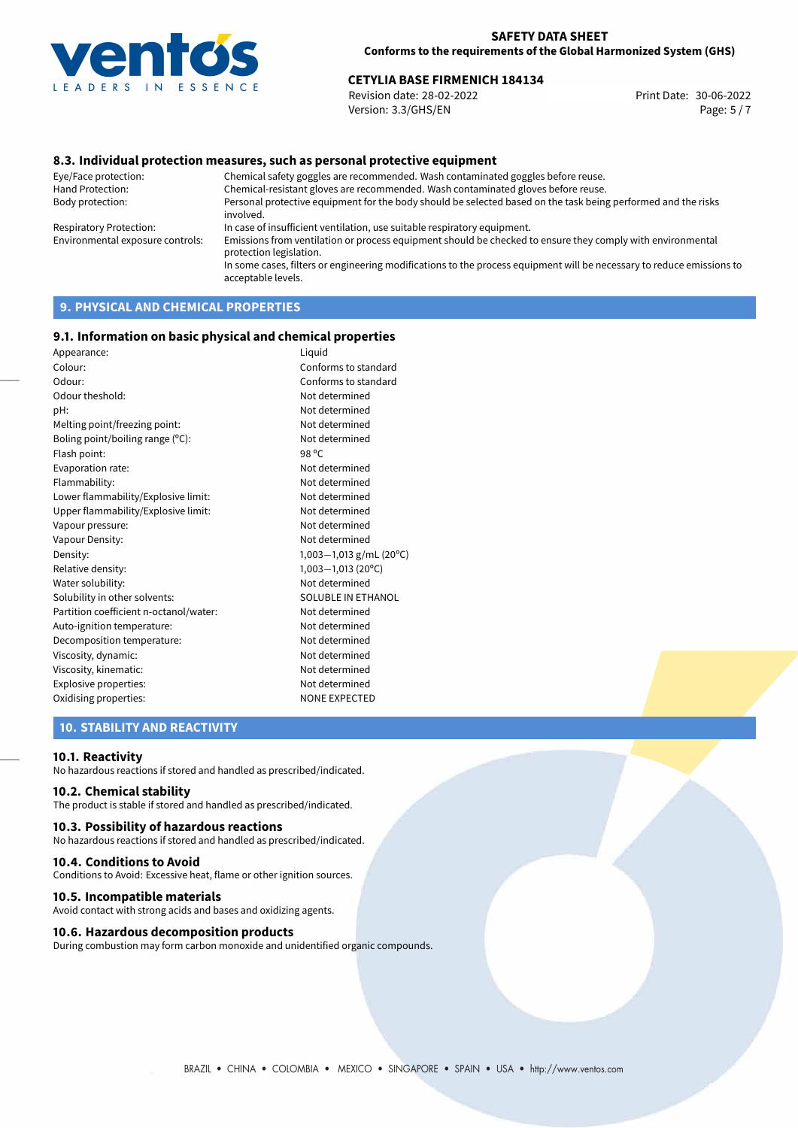

# **CETYLIA BASE FIRMENICH 184134**<br>30-06-2022 **Print Date: 30-06-2022** Print Date: 30-06-2022

Revision date: 28-02-2022 Version: 3.3/GHS/EN Page: 5 / 7

## **8.3. Individual protection measures, such as personal protective equipment**

Eye/Face protection: Chemical safety goggles are recommended. Wash contaminated goggles before reuse. Chemical-resistant gloves are recommended. Wash contaminated gloves before reuse. Body protection: Personal protective equipment for the body should be selected based on the task being performed and the risks involved. Respiratory Protection: In case of insufficient ventilation, use suitable respiratory equipment. Environmental exposure controls: Emissions from ventilation or process equipment should be checked to ensure they comply with environmental protection legislation. In some cases, filters or engineering modifications to the process equipment will be necessary to reduce emissions to acceptable levels.

# **9. PHYSICAL AND CHEMICAL PROPERTIES**

#### **9.1. Information on basic physical and chemical properties**

| Appearance:                                   | Liquid                     |  |  |
|-----------------------------------------------|----------------------------|--|--|
| Colour:                                       | Conforms to standard       |  |  |
| Odour:                                        | Conforms to standard       |  |  |
| Odour theshold:                               | Not determined             |  |  |
| pH:                                           | Not determined             |  |  |
| Melting point/freezing point:                 | Not determined             |  |  |
| Boling point/boiling range (°C):              | Not determined             |  |  |
| Flash point:                                  | 98 °C                      |  |  |
| Evaporation rate:                             | Not determined             |  |  |
| Flammability:                                 | Not determined             |  |  |
| Lower flammability/Explosive limit:           | Not determined             |  |  |
| Upper flammability/Explosive limit:           | Not determined             |  |  |
| Vapour pressure:                              | Not determined             |  |  |
| Vapour Density:                               | Not determined             |  |  |
| Density:                                      | 1,003-1,013 g/mL (20°C)    |  |  |
| Relative density:                             | $1,003-1,013(20^{\circ}C)$ |  |  |
| Water solubility:                             | Not determined             |  |  |
| Solubility in other solvents:                 | SOLUBLE IN ETHANOL         |  |  |
| Partition coefficient n-octanol/water:        | Not determined             |  |  |
| Auto-ignition temperature:                    | Not determined             |  |  |
| Decomposition temperature:                    | Not determined             |  |  |
| Viscosity, dynamic:                           | Not determined             |  |  |
| Viscosity, kinematic:                         | Not determined             |  |  |
| Explosive properties:                         | Not determined             |  |  |
| Oxidising properties:<br><b>NONE EXPECTED</b> |                            |  |  |
|                                               |                            |  |  |

## **10. STABILITY AND REACTIVITY**

#### **10.1. Reactivity**

No hazardous reactions if stored and handled as prescribed/indicated.

#### **10.2. Chemical stability**

The product is stable if stored and handled as prescribed/indicated.

#### **10.3. Possibility of hazardous reactions**

No hazardous reactions if stored and handled as prescribed/indicated.

#### **10.4. Conditions to Avoid**

Conditions to Avoid: Excessive heat, flame or other ignition sources.

#### **10.5. Incompatible materials**

Avoid contact with strong acids and bases and oxidizing agents.

#### **10.6. Hazardous decomposition products**

During combustion may form carbon monoxide and unidentified organic compounds.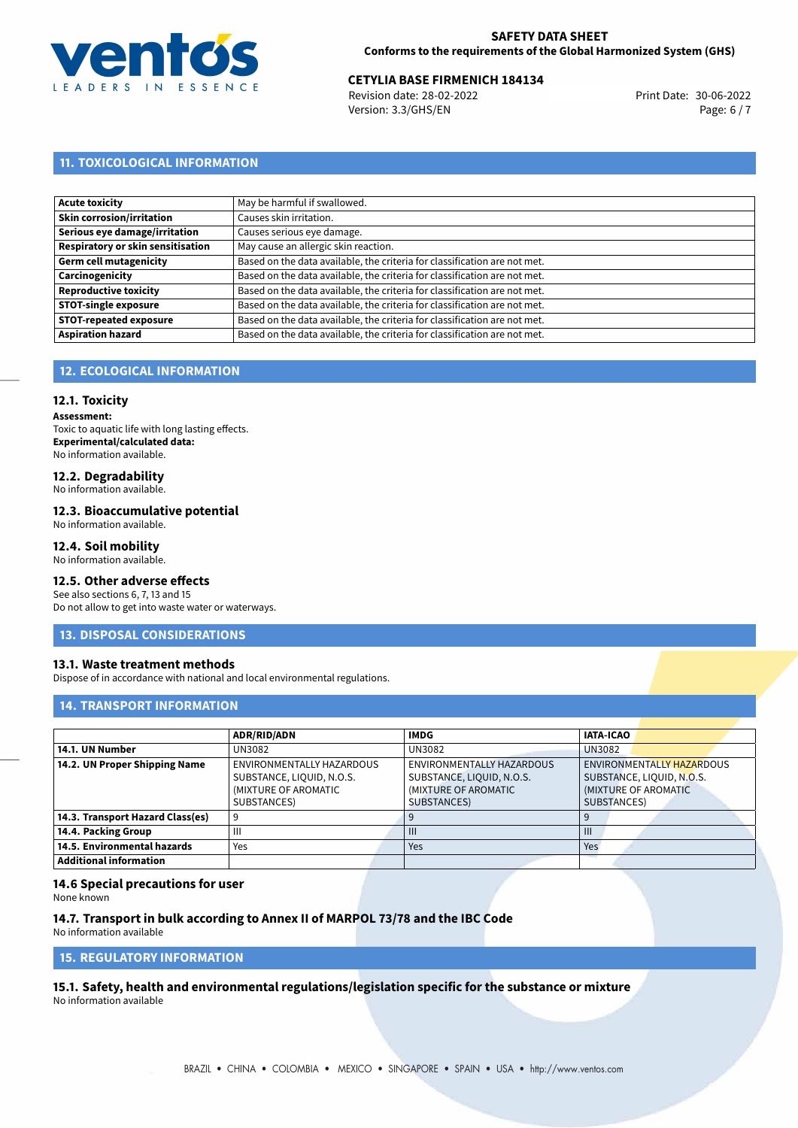

# **CETYLIA BASE FIRMENICH 184134**<br>30-06-2022 **Revision date: 28-02-2022** *Print Date: 30-06-2022*

Revision date: 28-02-2022 Version: 3.3/GHS/EN Page: 6 / 7

## **11. TOXICOLOGICAL INFORMATION**

| May be harmful if swallowed.                                              |
|---------------------------------------------------------------------------|
| Causes skin irritation.                                                   |
| Causes serious eye damage.                                                |
| May cause an allergic skin reaction.                                      |
| Based on the data available, the criteria for classification are not met. |
| Based on the data available, the criteria for classification are not met. |
| Based on the data available, the criteria for classification are not met. |
| Based on the data available, the criteria for classification are not met. |
| Based on the data available, the criteria for classification are not met. |
| Based on the data available, the criteria for classification are not met. |
|                                                                           |

## **12. ECOLOGICAL INFORMATION**

### **12.1. Toxicity**

**Assessment:** Toxic to aquatic life with long lasting effects. **Experimental/calculated data:** No information available.

# **12.2. Degradability**

No information available.

### **12.3. Bioaccumulative potential**

No information available.

## **12.4. Soil mobility**

No information available.

## **12.5. Other adverse effects**

See also sections 6, 7, 13 and 15 Do not allow to get into waste water or waterways.

### **13. DISPOSAL CONSIDERATIONS**

### **13.1. Waste treatment methods**

Dispose of in accordance with national and local environmental regulations.

### **14. TRANSPORT INFORMATION**

|                                  | <b>ADR/RID/ADN</b>         | <b>IMDG</b>               | <b>IATA-ICAO</b>          |
|----------------------------------|----------------------------|---------------------------|---------------------------|
| 14.1. UN Number                  | UN3082                     | UN3082                    | <b>UN3082</b>             |
| 14.2. UN Proper Shipping Name    | ENVIRONMENTALLY HAZARDOUS  | ENVIRONMENTALLY HAZARDOUS | ENVIRONMENTALLY HAZARDOUS |
|                                  | SUBSTANCE, LIQUID, N.O.S.  | SUBSTANCE, LIQUID, N.O.S. | SUBSTANCE, LIQUID, N.O.S. |
|                                  | (MIXTURE OF AROMATIC       | (MIXTURE OF AROMATIC      | (MIXTURE OF AROMATIC      |
|                                  | SUBSTANCES)<br>SUBSTANCES) |                           | SUBSTANCES)               |
| 14.3. Transport Hazard Class(es) | 9                          |                           | 9                         |
| 14.4. Packing Group              | Ш                          | $\mathbf{III}$            | $\mathbf{III}$            |
| 14.5. Environmental hazards      | Yes                        | Yes                       | Yes                       |
| <b>Additional information</b>    |                            |                           |                           |

#### **14.6 Special precautions for user**

None known

# **14.7. Transport in bulk according to Annex II of MARPOL 73/78 and the IBC Code**

No information available

**15. REGULATORY INFORMATION**

<span id="page-5-0"></span>**15.1. Safety, health and environmental regulations/legislation specific for the substance or mixture**